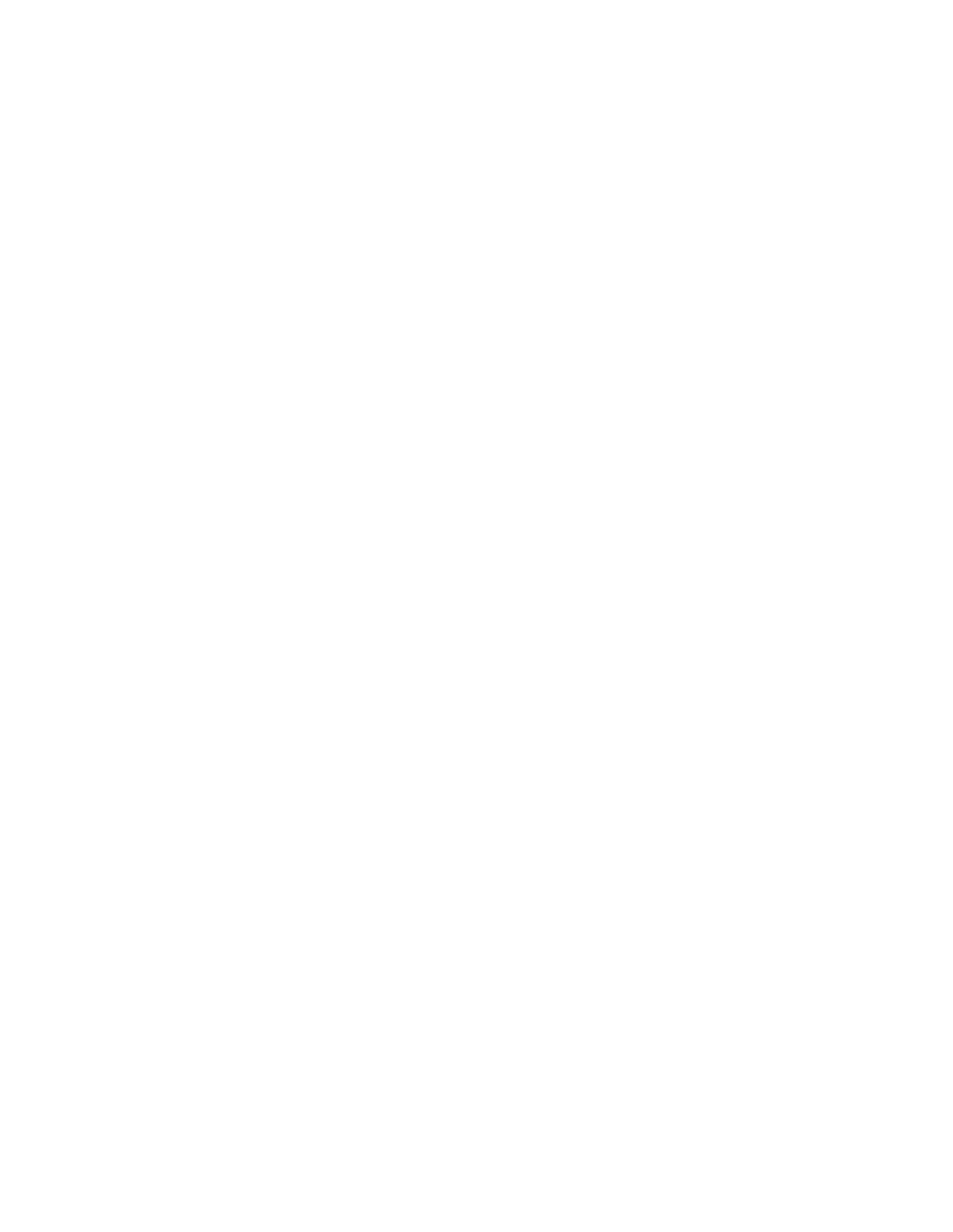# City of Aurora

## **Transition Plan**

## **For Public Right of Ways**



**Last Updated: March 2022**

**Public Works | Engineering**

44 East Downer Place | Aurora, IL 60507 Phone: (630) 256-3200 | Fax: (630) 256-3229 | Web: www[.aurora-il.org](https://www.aurora-il.org/)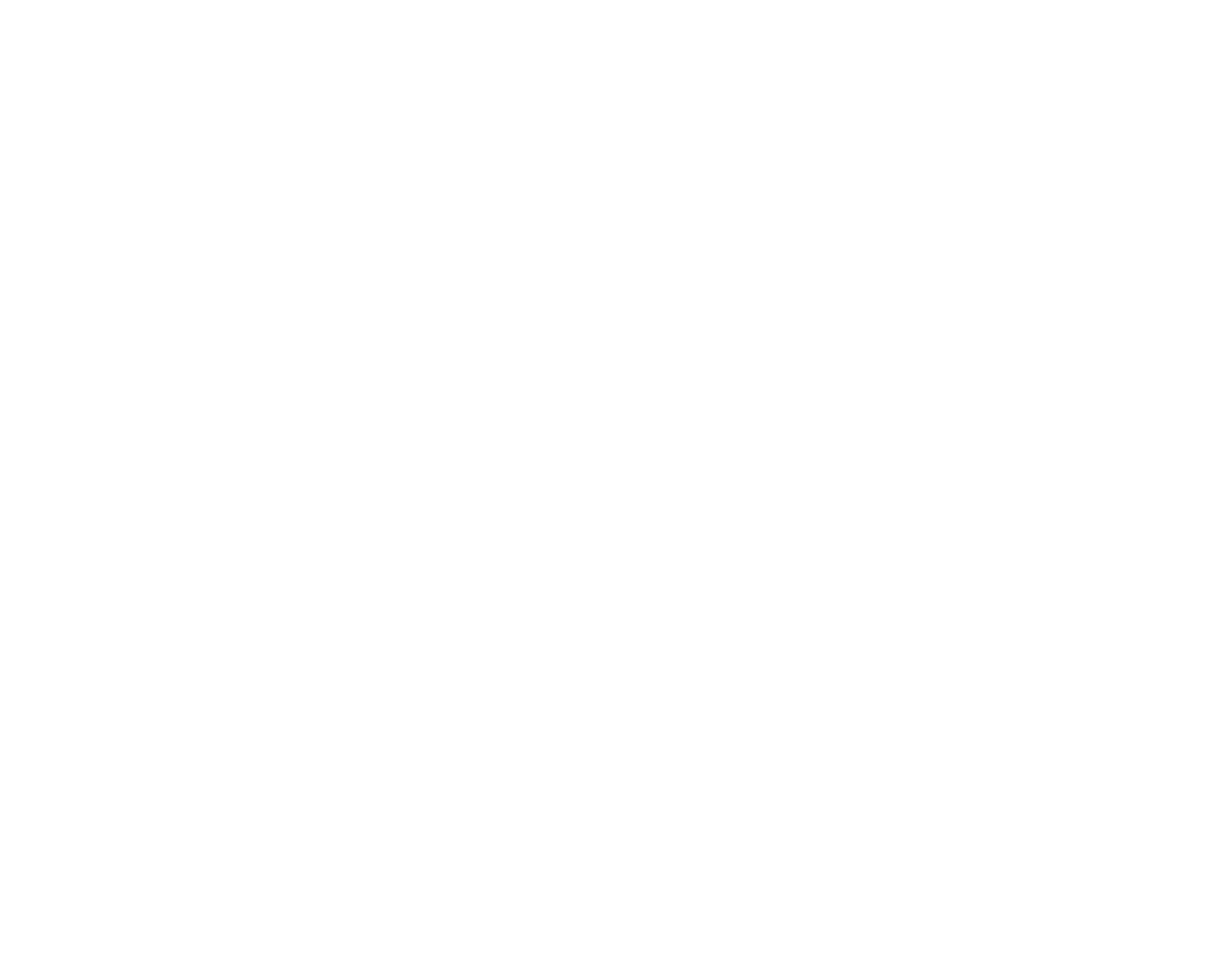## **Introduction**

The City of Aurora's ADA (Americans with Disabilities Act) Transition Plan is intended to serve as a guide by outlining key actions for making the City of Aurora's transportation systems accessible to all. Furthermore, this Transition Plan is intended to serve as an operating document to fulfill the requirements of Section 504 of the Rehabilitation Act of 1973 and Title II of the Americans with Disabilities Act of 1990. The City of Aurora is actively updating public right-of-ways and facilities to comply with ADA standards and guidelines. This ADA Transition Plan is a living document that will annually be updated with new standards and specifications as new guidelines are approved at the federal and state levels.

## **Vision**

The City of Aurora will be recognized as a place where all residents and visitors feel equally comfortable using any mode of transportation provided by the city. Together with other partners in transportation, Aurora is committed to making accessible transportation a reality.

## **Purpose**

The purpose of this Transition Plan is to evaluate public facilities and right of ways to ensure compliance with the latest accessibility guidelines. The City of Aurora has continually sought to update its policies and programs as regulations at both the federal and state level are revised. This Transition Plan primarily focuses on pedestrian sidewalks ramps within the public right-of-way. The City of Aurora's curb ramp design standards have been continuously modified to reflect the latest accessibility guidelines.

Although the Accessibility Guidelines for Pedestrian Facilities in the Public Right-of-Way (PROWAG) have not yet been officially adopted by the U.S. Department of Justice, the Federal Highway Administration (FHWA) has issued guidance that the draft version of the PROWAG are currently recommended as best practices. Due to widespread acceptance of the PROWAG, and the pending adoption in the near future, the City of Aurora ADA Transition Plan is largely based upon the PROWAG requirements.

The Transition Plan accomplishes the following tasks:

- Sets guidelines for modifying policies and practices that do not meet ADA requirements.
- Sets an agenda to identify physical obstacles in the public right of way that limit the accessibility of the agency's programs or activities to individuals with disabilities.
- Provides an opportunity for individuals with disabilities and or organizations representing individuals with disabilities, to participate in the implementation of the Transition Plan.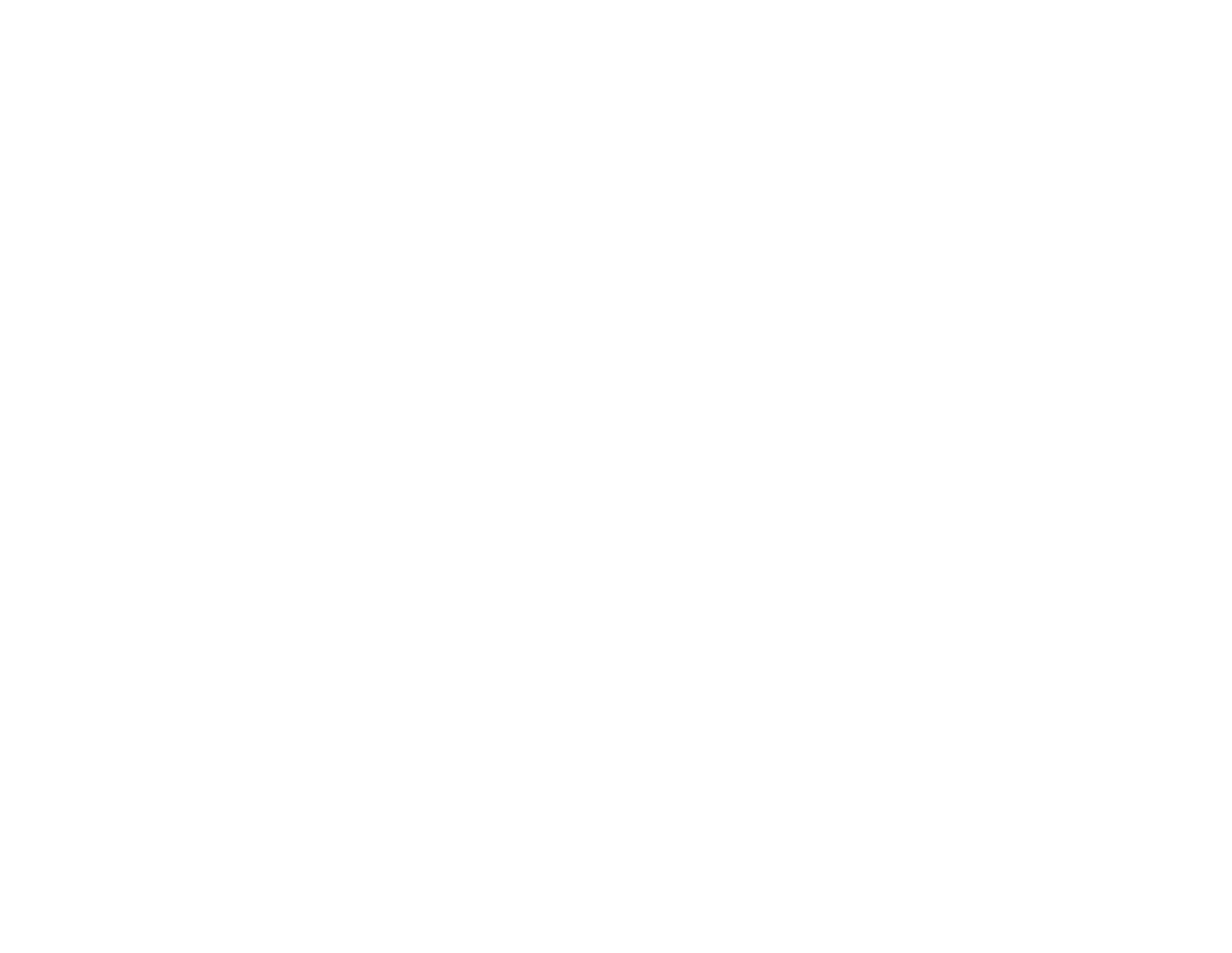- Describes the methodology that will be used to make pedestrian facilities accessible.
- Establishes a system for periodically reviewing and updating the Transition Plan.
- Indicates the officials responsible for the implementation of the Transition Plan.

#### **Accessibility Law**

The City of Aurora is required by Title II of ADA and Section 504 of the Rehabilitation Act of 1973, to conduct a self-evaluation and develop a Transition Plan detailing how the city will ensure all of its facilities, services, programs, and activities in the public right of way are accessible to all individuals.

Section 504 of the Rehabilitation Act of 1973 made it illegal for the federal government, federal contractors, and any entity receiving federal financial assistance to discriminate on the basis of disability.

While Section 504 of the Rehabilitation Act only applies to entities receiving federal financial assistance, the Americans with Disabilities Act (ADA), enacted on July 26, 1990 applies to all state and local governments, including those who do not receive federal financial assistance. Title II of the ADA pertains to the programs, activities and services provided by public entities. As a provider of public transportation services and programs, The City of Aurora must comply with this section of the Act as it applies to municipalities. Title II of ADA provides that, "no qualified individual with a disability shall, by any reason of such disability, be excluded from participation in or be subjected to discrimination by any such entity. (42 U.S.C. 12132)

### **Location and Staffing**

Managing and implementing the City of Aurora Transition Plan requires a multidisciplinary approach encompassing policy development, outreach, technical support, and legal oversight. These responsibilities required by 28 C.F.R. 35.107 will be managed by an ADA Coordinator. Questions regarding the City of Aurora's Transition plan should be directed to:

Brian Witkowski, P.E., CFM, CSI, Professional Engineer ADA Coordinator Public Works - Engineering 44 E. Downer Pl (mailing address) Aurora, IL 60507 (630) 256-3200 [WitkowskiB@aurora.il.us](mailto:WitkowskiB@aurora.il.us)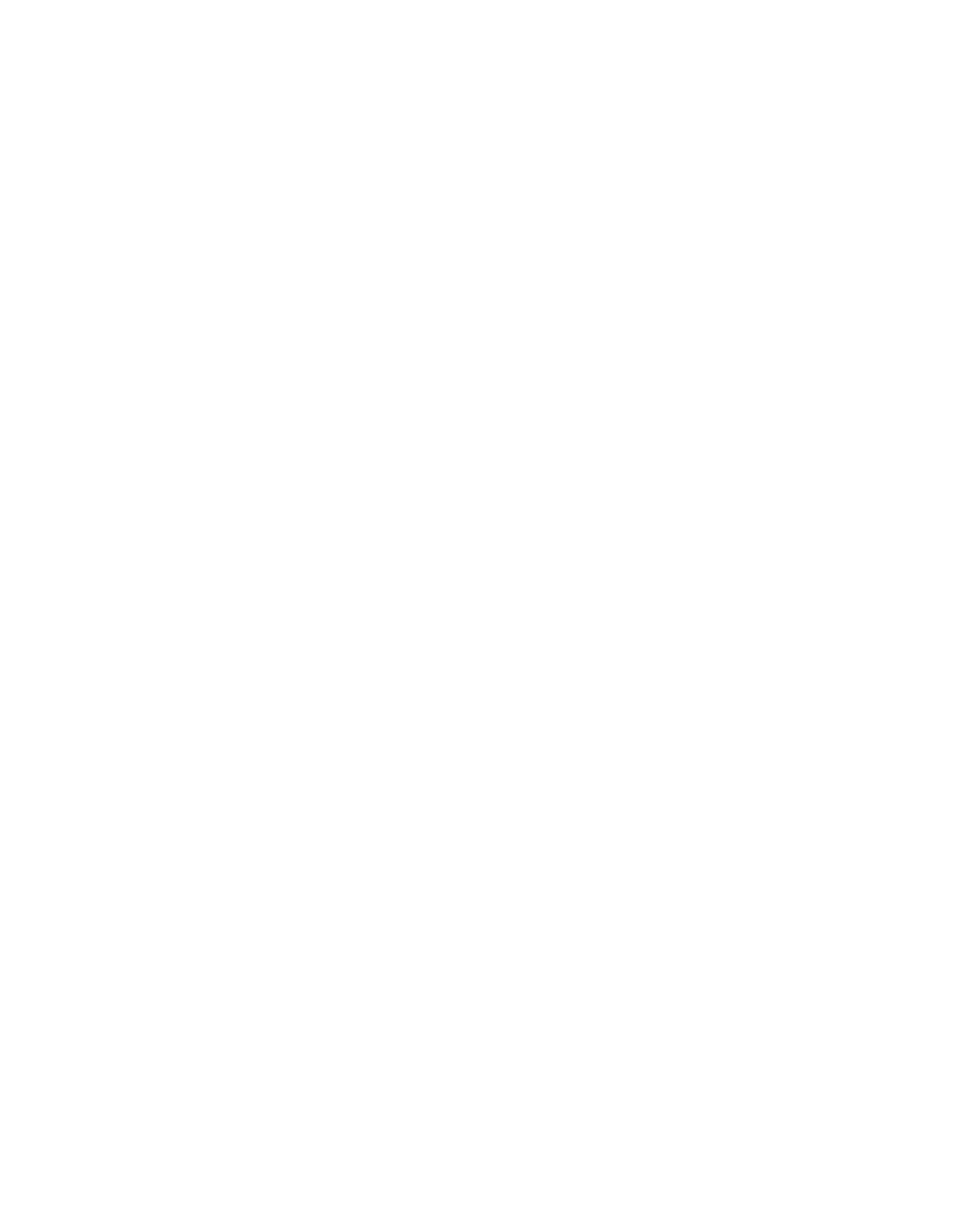### **Self-Evaluation**

Under Title II of the Americans with Disabilities Act, the City is required to conduct a self-evaluation. To date the City has conducted a self-evaluation of sidewalk curb ramps within the public right-of-way. The inventory has been primarily developed using studies of existing aerial photography, visual observation (of detectable warning tiles) and paving history. Most barriers to the pedestrian access route created by noncompliant curb ramps are narrow sidewalks; excessive slope of landings, cross slope, or running slope; damaged, missing, misaligned, improperly sized detectable warning tiles; and not fully depressed or excessively sloped curb & gutter.

The City's self-evaluation of the curb ramps can be found in Appendix F with maps broken out by Ward. The definitions of terms used in the maps can be found in Appendix A.

The self-evaluation is a living document and the last major update was completed in the summer of 2021. At that time, the City owned and maintained approximately 16,000 curb ramps. The cost to fix all of the curb ramps that are not designated as "Compliant" would be approximately \$17.79 Million (2022 dollars). A majority of these ramps will be upgraded to the latest standard during the annual resurfacing program.

Designations in the map are ever changing and may not be correct. As construction standards change, curb ramps may change designation and fall into or out of compliance with current standards. The bulk of the issues that the City has observed in the self-evaluation is that the curb ramps were likely compliant at the time of installation but changing standards has brought them out of compliance. Additionally, some curb ramps may have been constructed to the "maximum extent feasible" during an alteration and as such, are considered compliant per PROWAG guidelines.

## **Transition Plan Management**

The City of Aurora's Transition Plan is a living document that will be updated as facility inventories are completed, and noncompliant features are upgraded. Additionally, other inaccessible features may be added when accessibility guidelines are revised. In order to streamline Transition Plan updates and to keep the document current and relevant, attachments will be update annually if new information is available. When an update is found to alter the intent of the City of Aurora's Transition Plan, the attachment and affected section(s) will be posted for public review and comment. Annual updates that do not alter the intent will be published on the website without any public review and with the cover page of the Transition Plan updated. The Transition Plan update schedule may be altered at the discretion of the City of Aurora based on guideline changes from the United States Access Board, FHWA policy, and/or City of Aurora policy.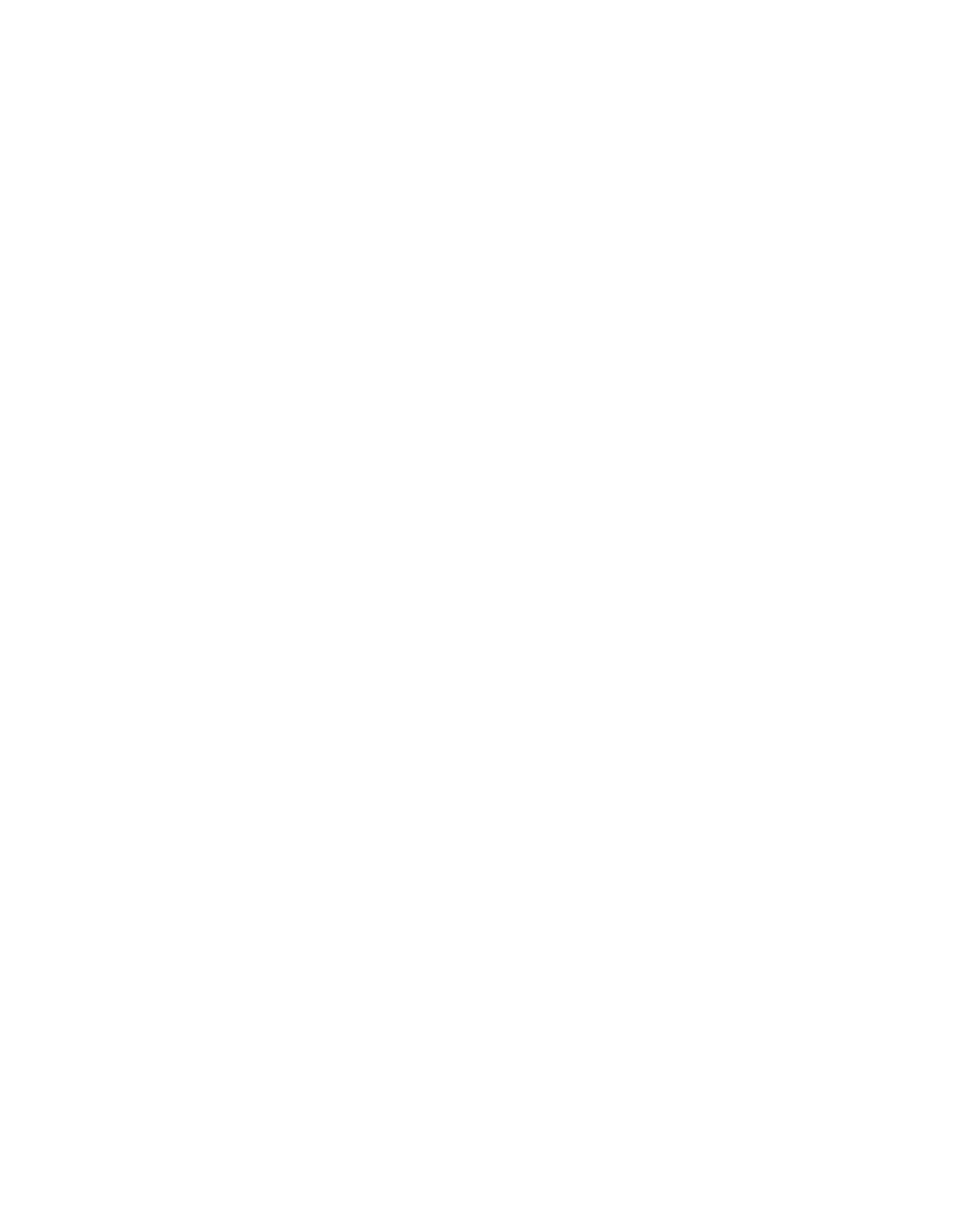## **Action Plan**

The City of Aurora conducts an annual street resurfacing program. On average this program is over \$6M per year. Federal law requires Local Public Agencies to update noncompliant curb ramps which are included within the limits of a street resurfacing project. Therefore, the City is scheduled to update noncompliant curb ramps as streets within the City are resurfaced. Other sidewalk not at curb ramp locations that provides a barrier and meets the City's criteria for replacement is also replaced.

In addition to the annual street resurfacing program, the City has an annual City-Wide replacement contract which averages approximately \$1.3M per year. This program focuses on Sidewalk, Pavement Patching, Striping and Multi-Use Path Overlay. Of the \$1.3M total, on average approximately \$750,000 of funds is allocated to sidewalk replacement and removing barriers in the public right-of-way. In 2022, this amount allocated for sidewalk replacement is \$800,000 (CIP E004 / account 340-44630-431.38-61).

The prioritization scheme for replacing sidewalk is as follows:

- The City has sidewalk replacement criteria which can be found at this link: Sidewalk and Driveway [Replacement | Aurora, IL \(aurora-il.org\)](https://www.aurora-il.org/1676/Sidewalk-and-Driveway-Replacement)
- Any resident can report sidewalk that needs repair or replacement. A staff member from the Engineering Division will inspect the sidewalk and determine if it meets the City's criteria.
- If the complaint location meets the criteria for replacement, the entire block will be investigated for other sidewalk that meets criteria and put on a list for replacement. Curb ramps will be included in this investigation and replaced if they are not compliant.
- During design, the City will calculate quantities and project the cost to replace the above sidewalk and curb ramps. If any funds are remaining in the budget, City staff will review the list of the "Non Compliant" curb ramps and fix as many as budget allows.
- When all "Non Compliant" curb ramps are fixed, the City will move its attention to "Near Compliant" locations.
- Ramps selected for replacement may be based on proximity to other work already scheduled. The City will also consider the severity of non-compliance, poor levels of pedestrian service, population density, preserve of a disabled population and the cost when considering an accelerated schedule for replacement. Fixing additional ramps is subject to budget constraints.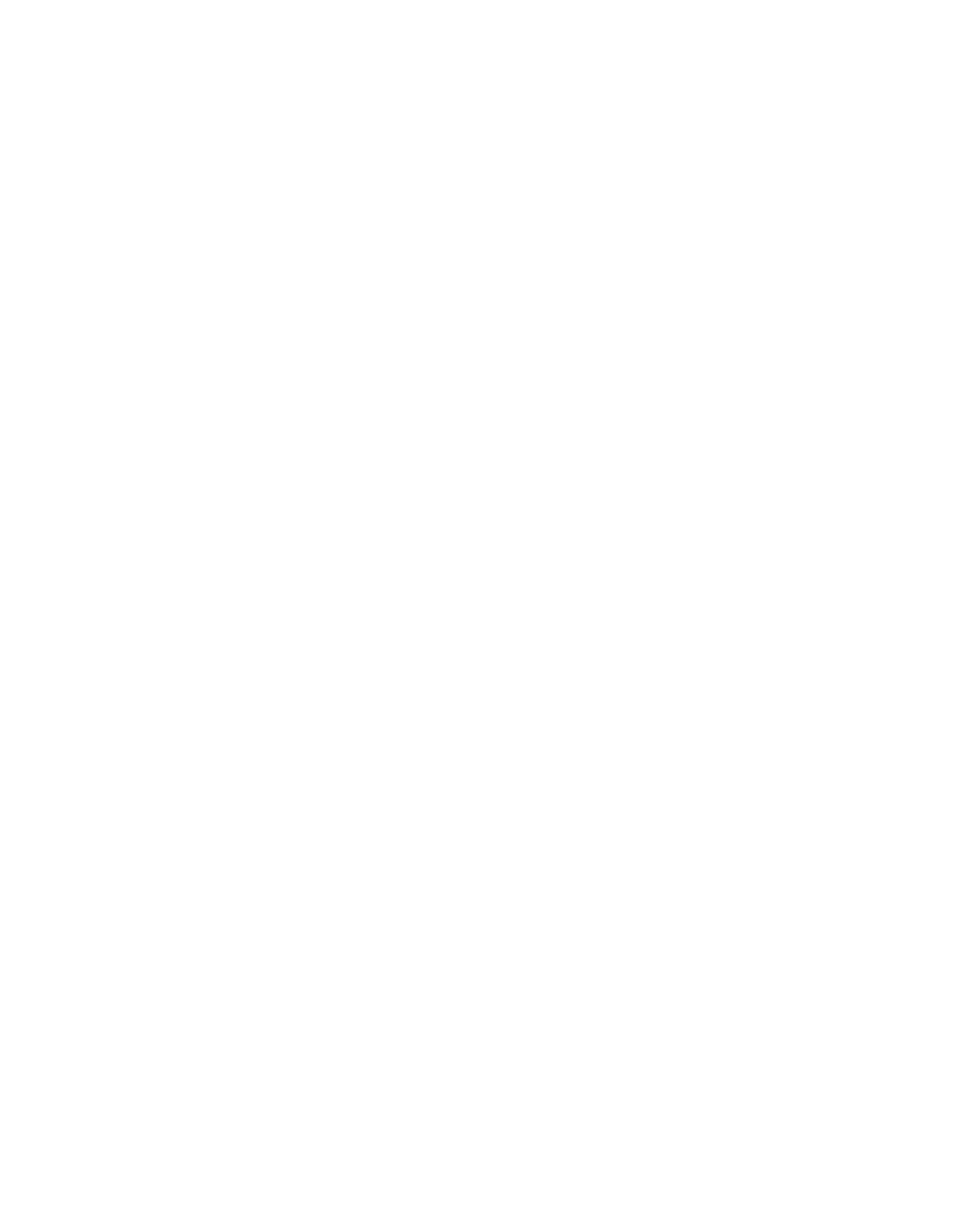To monitor progress of the plan, the City has established goal timelines to complete the following tasks:

- By 2024 Complete a major update of Self-Evaluation including inspection of all ramps currently designated as "Required Further Inspection"
- By 2025 Review progress of action plan and number of curb ramps being updated. Adjust budget and/or prioritization plan if needed.
- By 2040 Complete an update of all curb ramps in the City with the hope that all curb ramps meet compliance (subject to any future major standards changes).

## **Public Outreach**

The City of Aurora recognizes that public transportation is an important component in the development of the Transition Plan. To that end, the City of Aurora held a public information meeting on March 29<sup>th</sup>, 2017 at 4:30 in the City Hall. The purposes of the meeting were to receive feedback and concerns on the Transition Plan. No one from the public attended and no comments were provided. The City still provides an opportunity for interested persons, including individuals with disabilities and/or organizations representing individuals with disabilities, to participate in the process by submitting comments. The public may submit comments regarding this Transition Plan by completing the Public Comment Form and mailing it to the following address:

City of Aurora

44 E. Downer Pl.

Aurora, IL 60507

#### Attn. Engineering Division - ADA Coordinator

Public comments may be submitted by email to: [WitkowskiB@aurora.il.us](mailto:WitkowskiB@aurora.il.us)

#### **Complaint Procedure:**

The Americans with Disabilities Act of 1990 and the Rehabilitation Act of 1973 prohibit a public entity from discriminating against persons with disabilities in access to facilities and services that the public entity provides. If users of City of Aurora facilities and services believe that the City of Aurora has not provided reasonable accommodation in the public right-of-way, the have the right to file a complaint. In accordance with 28 C.F.R Section 35.107(b), the City of Aurora has developed a complaint procedure for the purpose of the prompt and equitable resolution of citizens' complaints, concerns, comments, and other grievances.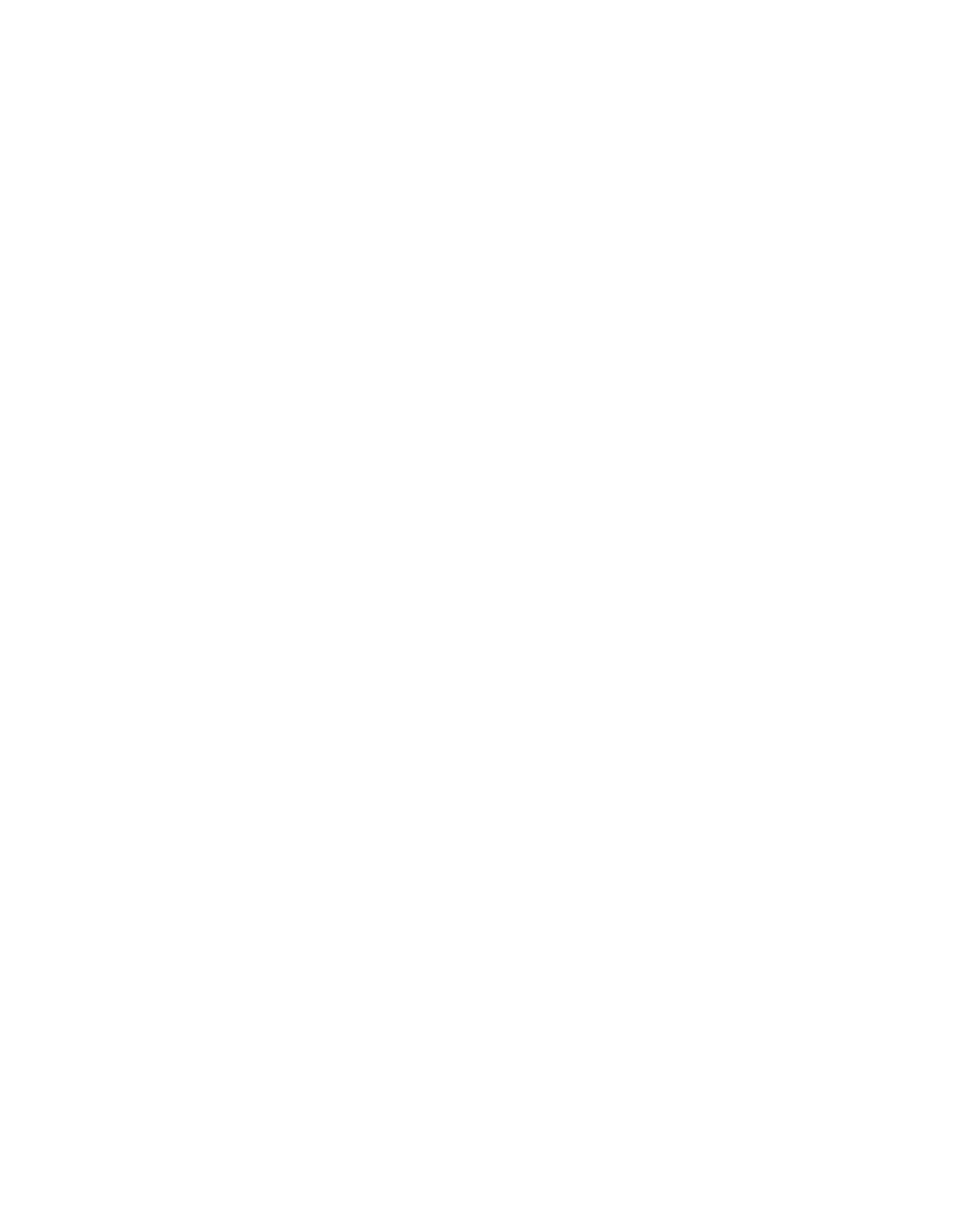#### **Who may file a complaint:**

Any person who believes that they have been excluded participation in, denied the benefits of, or otherwise subjected to discrimination under any City of Aurora service, program, activity, or facility may file a complaint. A complaint may also be filed on behalf of such a person.

#### **How to file a complaint**

A complainant may file their complaint by using the Americans with Disabilities Act (ADA) Accessibility Complaint form submitted via mail to the following address:

City of Aurora

44 E. Downer Pl.

Aurora, IL 60507

Attn. Engineering Division - ADA Coordinator

The complaint may also be submitted via email to [WitkowskiB@aurora.il.us.](mailto:WitkowskiB@aurora.il.us) A copy of the ADA Complaint form is attached as Appendix D. Any person with a disability or their representative may request to file their complaint using an alternative format.

#### **Complaint Processing**

The City of Aurora will acknowledge complaints received and will process them once the identity of the complaint is established. If the complaint filed does not concern a City of Aurora facility, it will be forwarded to the appropriate government or private entity and the complainant will be notified.

Within 60 calendar days of receipt, the City of Aurora will conduct the investigation necessary to determine the validity of the alleged violation. If appropriate, the City of Aurora will arrange to meet with the complainant to discuss the matter and attempt to reach a resolution of the complaint.

If a resolution of the complaint is not reached, a written determination of the complaint shall be issued by the City of Aurora and a copy forwarded to the complainant. The resolution of any specific complaint will require consideration of varying circumstances, such as: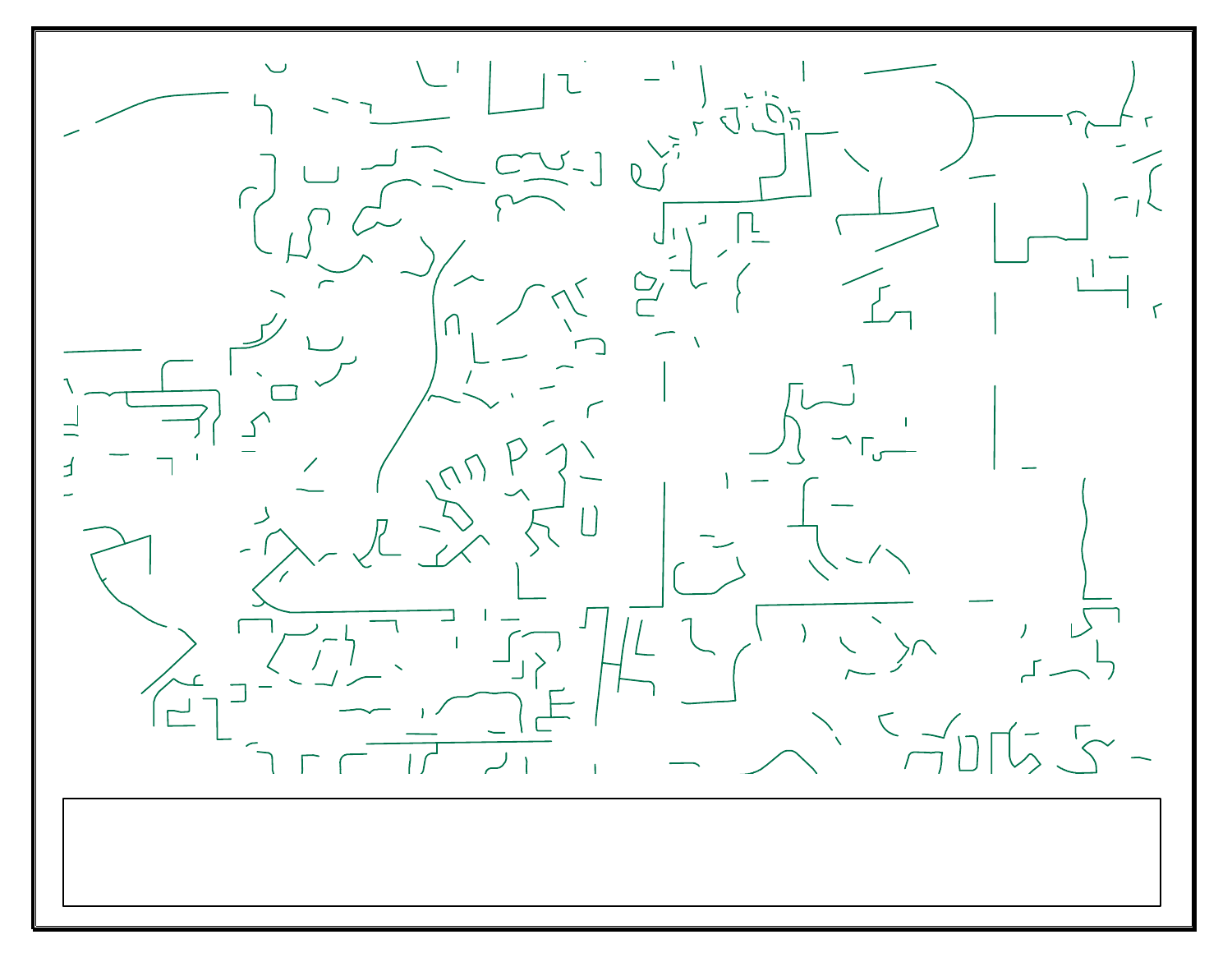- ❖ The nature of the access to services, programs, or facilities at the issue and essential eligibility requirements for participation.
- ❖ The health and safety of the general public.
- ❖ The degree to which an accommodation would constitute a fundamental alteration to the program, service, or facility, or cause undue hardship to the City of Aurora.

Accordingly, the resolution by the City of Aurora of any one complaint does not constitute a precedent upon which the City of Aurora is bound or upon which other complaining parties may rely.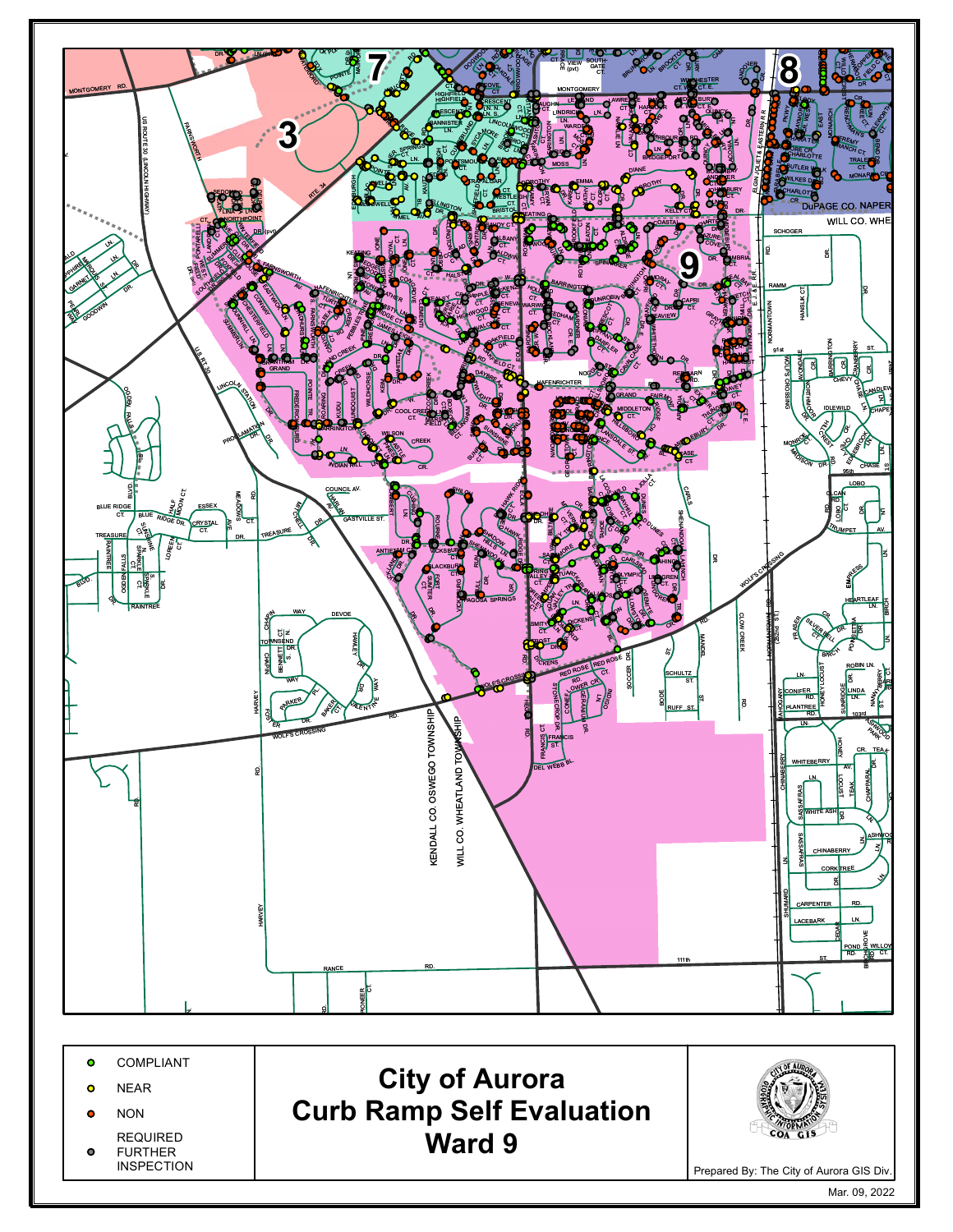## **Other Facilities / Non-Curb Ramps**

While the focus of this plan is on curb ramps, the City of Aurora has many facilities acquired and built over the years for numerous departments and divisions. The City of Aurora has an on-going program to inspect and maintain these facilities. Any questions regarding these facilities can be directed towards Jim Birchall, Superintendent Fleet and Facilities Maintenance at 630-256-3490 [\(BirchallJ@aurora.il.us\)](mailto:BirchallJ@aurora.il.us). The buildings and facilities that are required to comply with ADA standards under the jurisdiction of the City of Aurora are listed below:

| <b>Alschuler Building</b>              | <b>Hogan Building</b>                                        |  |                       |
|----------------------------------------|--------------------------------------------------------------|--|-----------------------|
| Animal Control & Care Facility         | <b>Municipal Airport</b>                                     |  |                       |
| Aurora Public Arts Center              | Nickles-Bielman Building                                     |  |                       |
| <b>Central Garage</b>                  | Parking-All of the 21 municipal parking lots                 |  |                       |
| <b>City Hall</b>                       | Parks- Any public park within city limits                    |  |                       |
| <b>Development Services Building</b>   | Storage Facility-1960 Indian Trail and 1100<br>Mitchell Road |  |                       |
| <b>Downtown Maintenance Building</b>   |                                                              |  |                       |
| <b>Electrical Maintenance Building</b> | <b>Salt Storage Facility</b>                                 |  |                       |
| <b>Elmslie Building</b>                | Vargas Building<br>Water Meter Maintenance Facility          |  |                       |
|                                        |                                                              |  | <b>Fire Stations:</b> |
| <b>Central Fire Station</b>            |                                                              |  |                       |
| Station 3                              | <b>Water Treatment Facility</b>                              |  |                       |
| Station 4                              |                                                              |  |                       |
| Station 5                              |                                                              |  |                       |
| Station 7                              |                                                              |  |                       |
| <b>Station 8</b>                       |                                                              |  |                       |
| Station 9                              |                                                              |  |                       |
| Station 10                             |                                                              |  |                       |
| Station 12                             |                                                              |  |                       |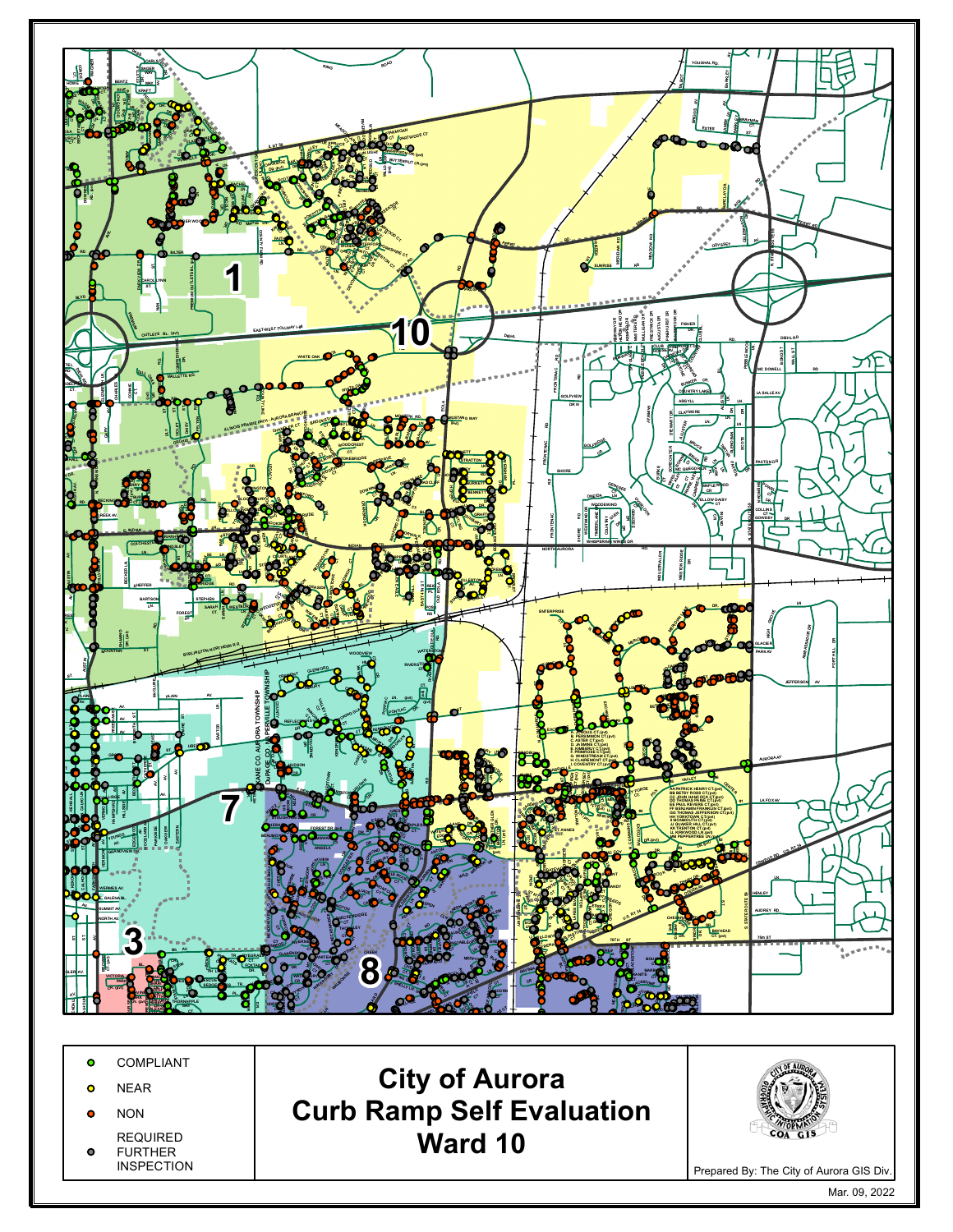## **Appendices:**

- A. Glossary of Terms
- B. Contact Information
- C. Public Comment Form
- D. Americans with Disabilities Act (ADA) Accessibility Complaint form
- E. Links to Standards and Specifications
- F. City of Aurora Self Evaluation

## **Appendix A: Glossary of Terms**

**Accessible:** Describes a facility in the public right-of-way that provides ADA compliant access for people with disabilities.

Alteration: A change to a facility in the public right of way that affects or could affect pedestrian access, circulation, or use.

**Americans with Disabilities Act:** Federal civil rights legislation passed in 1990 and effective July 1992 (42 USC 12131). The ADA prohibits discrimination and ensures equal opportunity for persons with disabilities.

**Compliant:** In the self-evaluation, the City has determined the curb ramp is likely in compliance, subject to the current standards.

**Cross Slope:** The grade that is perpendicular to the direction of pedestrian travel.

**Curb Ramp:** A ramp that cuts through or is built up to the curb.

**Detectable Warning:** Surface consisting of truncated domes aligned in a square or radial grid pattern, and built in or applied walking surface.

**Element:** An architectural or mechanical component of a building, facility, space, site, or public right-of-way.

**Facility:** All or any portions of buildings, structures, improvements, elements, and pedestrian or vehicular routes located in the public right of way.

**Near Compliant:** In the self-evaluation, the City has determined the curb ramp has a current detectable warning tile and is mostly in compliance, but the ramp has some elements that are currently not up to standard.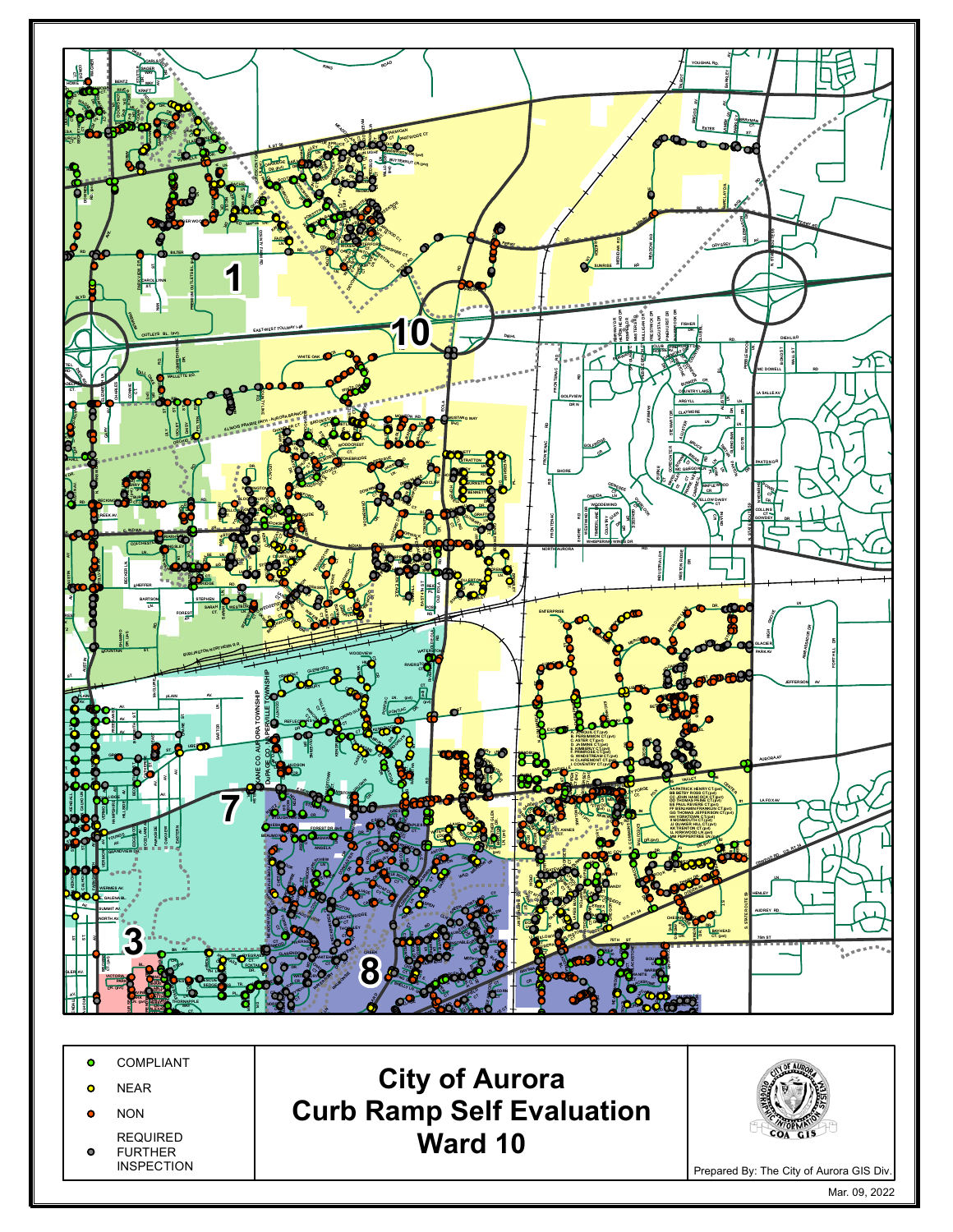**Non Compliant:** In the self-evaluation, the City has determined the curb ramp is not in compliance with current standards.

**Pedestrian Access Route (PAR):** A continuous and unobstructed path of travel provided for pedestrians with disabilities within or coinciding with a pedestrian circulation path.

**PROWAG:** An acronym for the Accessibility Guidelines for Pedestrian Facilities in the Public Right-of-way (Formally called "Public Rights-Of-Way Accessibility Guidelines"

**Public Right-of-Way:** Public land or property, usually in interconnected corridors, that is acquired for or dedicated to transportation purposes.

**Required Further Inspection:** In the self-evaluation, the City has determined the curb ramp needs more detailed measurements to confirm if it is compliance.

**Running Slope:** The grade that is parallel to the direction of travel.

## **Appendix B: Contact Information**

Brian Witkowski, P.E., CFM, CSI, Professional Engineer ADA Coordinator Public Works - Engineering 44 E. Downer Pl (mailing address) Aurora, IL 60507 (630) 256-3200 [WitkowskiB@aurora.il.us](mailto:WitkowskiB@aurora.il.us)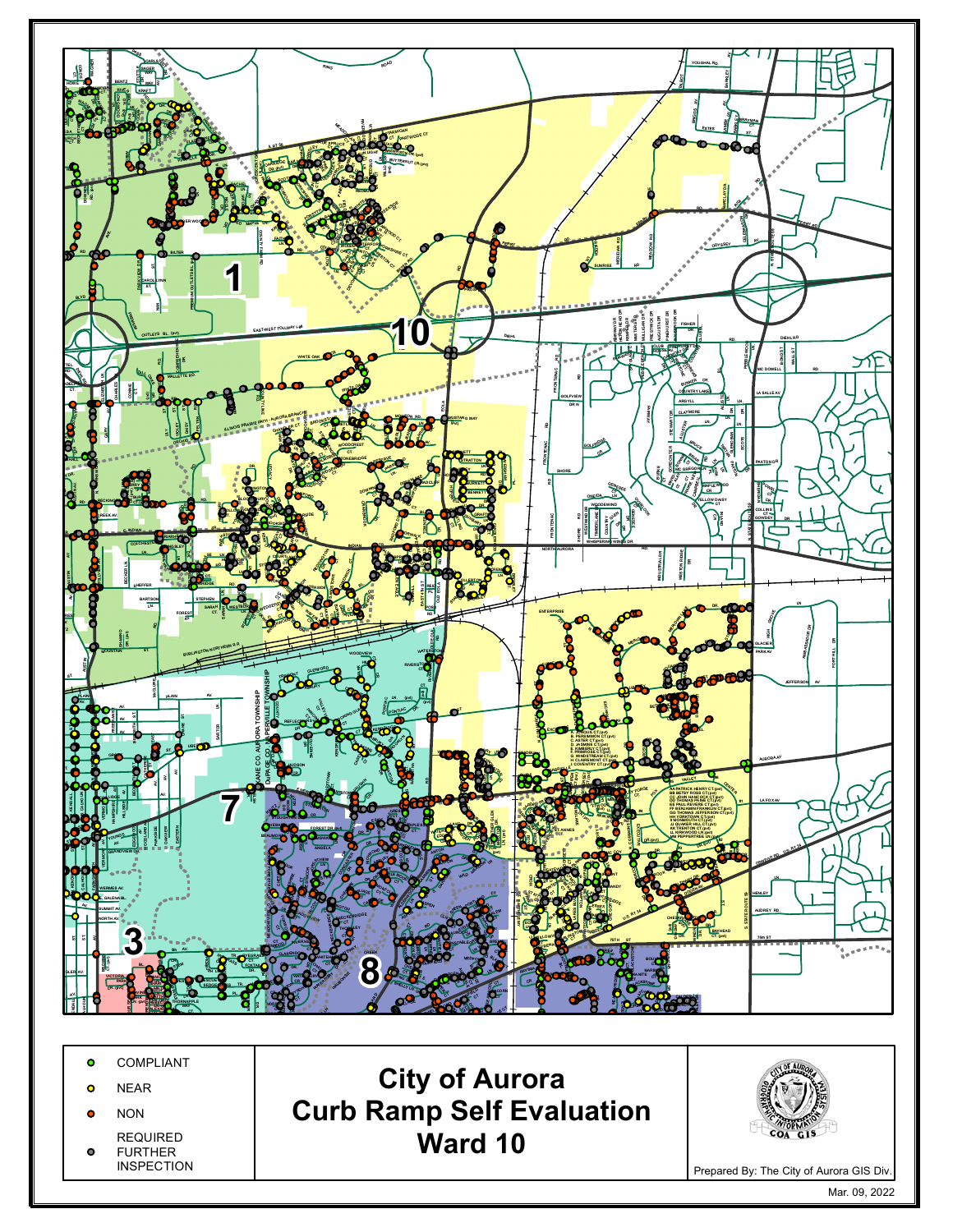## **Appendix C: Public Comment Form**

| Name (Optional):                                                                   | Date: |  |  |  |
|------------------------------------------------------------------------------------|-------|--|--|--|
| <b>Contact Information:</b>                                                        |       |  |  |  |
| Biggest challenges you experience as a pedestrian along City of Aurora             |       |  |  |  |
| facilities:                                                                        |       |  |  |  |
|                                                                                    |       |  |  |  |
|                                                                                    |       |  |  |  |
|                                                                                    |       |  |  |  |
|                                                                                    |       |  |  |  |
| Specific locations with barriers to accessibility (Street, address, intersection): |       |  |  |  |
|                                                                                    |       |  |  |  |
|                                                                                    |       |  |  |  |
|                                                                                    |       |  |  |  |
|                                                                                    |       |  |  |  |
| <b>Additional comments:</b>                                                        |       |  |  |  |
|                                                                                    |       |  |  |  |
|                                                                                    |       |  |  |  |
|                                                                                    |       |  |  |  |
|                                                                                    |       |  |  |  |
|                                                                                    |       |  |  |  |
|                                                                                    |       |  |  |  |
|                                                                                    |       |  |  |  |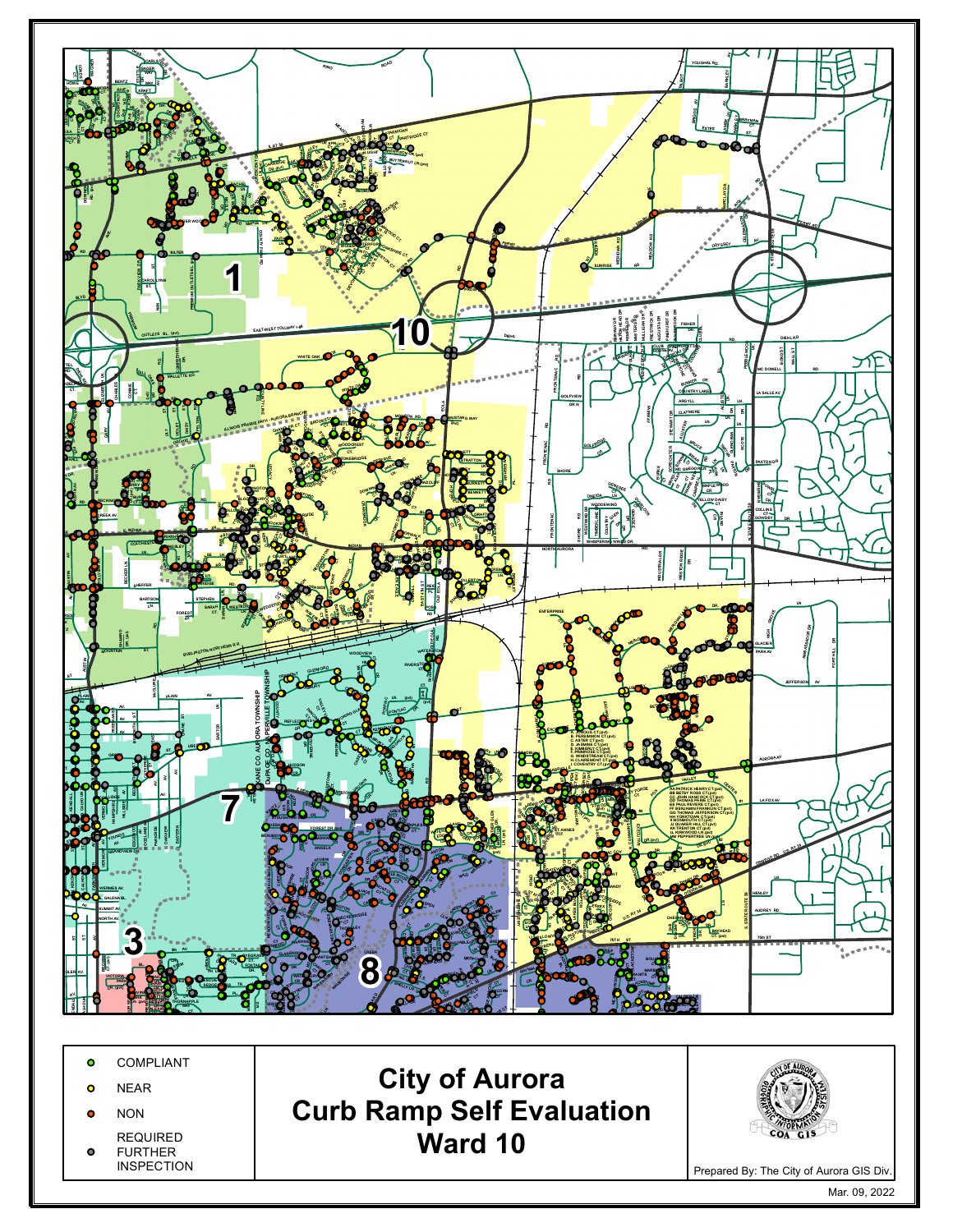## **Appendix D: Americans with Disabilities Act Complaint Form**

To submit an accessibility concern or complaint to the City of Aurora,

please print and complete this form, sign and mail it to:

City of Aurora

44 E. Downer Pl.

Aurora, IL 60507

Attn. Engineering Division - ADA Coordinator

Or e-mail form as an attachment to WitkowskiB@aurora.il.us

| <b>Section I</b>                                                                                      |                 |  |        |  |  |
|-------------------------------------------------------------------------------------------------------|-----------------|--|--------|--|--|
| <b>Complainant Name:</b>                                                                              | Address:        |  | Apt. # |  |  |
|                                                                                                       |                 |  |        |  |  |
| City:                                                                                                 | State:          |  | Zip:   |  |  |
| Phone #:                                                                                              |                 |  |        |  |  |
|                                                                                                       | E-mail Address: |  |        |  |  |
| <b>Section II</b>                                                                                     |                 |  |        |  |  |
|                                                                                                       |                 |  |        |  |  |
| When did the discrimination event occur? Date(s):                                                     |                 |  |        |  |  |
|                                                                                                       |                 |  |        |  |  |
|                                                                                                       |                 |  |        |  |  |
| Place where the discrimination occurred (please include roadway name, intersection (if applicable),   |                 |  |        |  |  |
| facility name and/or location if other than roadway:                                                  |                 |  |        |  |  |
|                                                                                                       |                 |  |        |  |  |
|                                                                                                       |                 |  |        |  |  |
| Please describe in detail the nature of the complaint (including all parties that were involved): Use |                 |  |        |  |  |
| additional page(s) if required and attach any documents you believe support your complaint.           |                 |  |        |  |  |
|                                                                                                       |                 |  |        |  |  |
|                                                                                                       |                 |  |        |  |  |
|                                                                                                       |                 |  |        |  |  |
|                                                                                                       |                 |  |        |  |  |
|                                                                                                       |                 |  |        |  |  |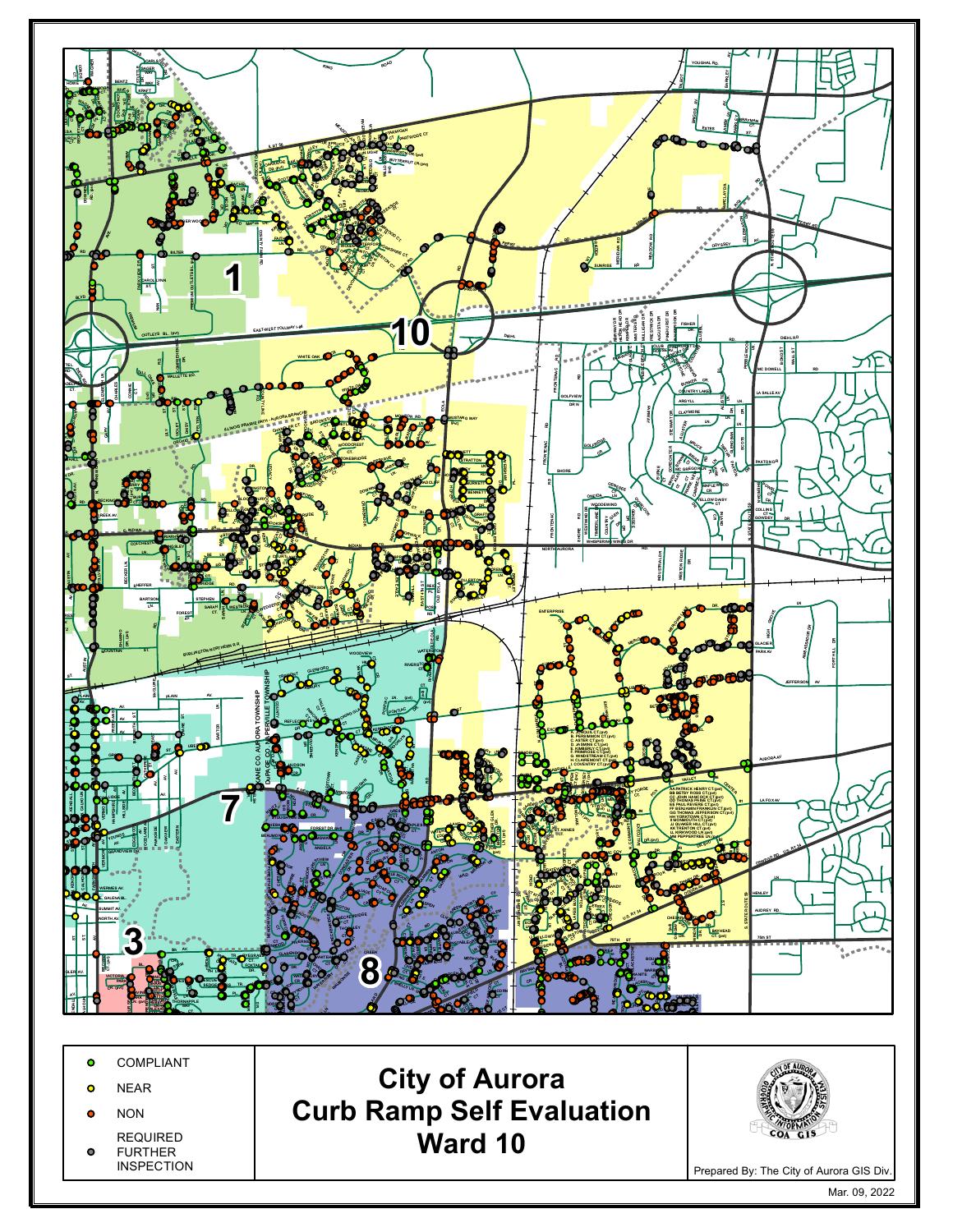## **Appendix E: Links to Standards and Specifications**

The City is required to adopt technical guidelines that comply with ADA Standards.

The City has adopted Section 41-6 of the Illinois Department of Transportation Bureau of Local Roads and Streets (BLRS) Manual as a design standard. Section 41-6 can be found at the following link:

[Local Roads and Streets Manual \(illinois.gov\)](https://idot.illinois.gov/Assets/uploads/files/Doing-Business/Manuals-Guides-&-Handbooks/Highways/Local-Roads-and-Streets/Local%20Roads%20and%20Streets%20Manual.pdf)

In addition to Section 41-6 of the Bureau of Local Roads and Streets Manual, the City has adopted all the Highway Standards related to curb ramp construction available from IDOT. The Highway Standards can be seen in the following links:

- [225-424001-11\\_PerpendicularCurbRamps.pdf \(illinois.gov\)](https://idot.illinois.gov/Assets/uploads/files/Doing-Business/Standards/Highway-Standards/PDF/225-424001-11_PerpendicularCurbRamps.pdf)
- [225-424006-05\\_DiagonalCurbRamps-054.pdf \(illinois.gov\)](https://idot.illinois.gov/Assets/uploads/files/Doing-Business/Standards/Highway-Standards/PDF/225-424006-05_DiagonalCurbRamps-054.pdf)
- 225-424011-04 CornerParallelCurbRamps.pdf (illinois.gov)
- [225-424016-05\\_MidBlockCurbRamps.pdf \(illinois.gov\)](https://idot.illinois.gov/Assets/uploads/files/Doing-Business/Standards/Highway-Standards/PDF/225-424016-05_MidBlockCurbRamps.pdf)
- 225-424021-06 DepressedCorner-057.pdf (illinois.gov)
- 225-424026-03 EntranceAlleyPedestrianCrossings.pdf (illinois.gov)
- [225-424031-02\\_MedianPedestrianCrossings.pdf \(illinois.gov\)](https://idot.illinois.gov/Assets/uploads/files/Doing-Business/Standards/Highway-Standards/PDF/225-424031-02_MedianPedestrianCrossings.pdf)